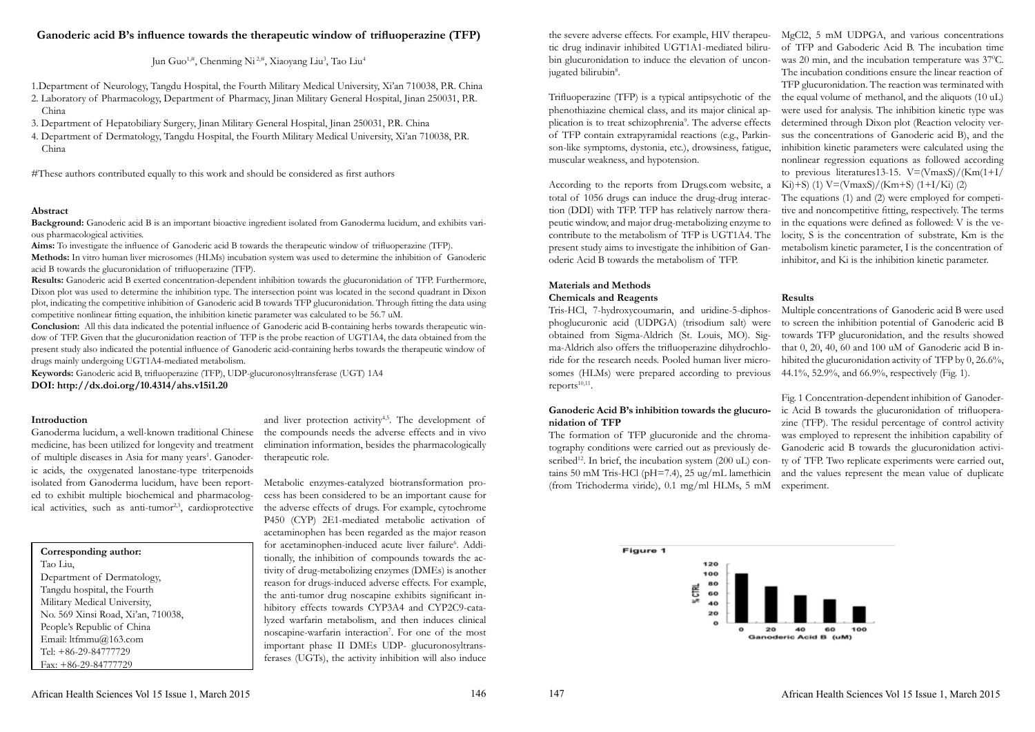# **Ganoderic acid B's influence towards the therapeutic window of trifluoperazine (TFP)**

Jun Guo<sup>1,#</sup>, Chenming Ni<sup>2,#</sup>, Xiaoyang Liu<sup>3</sup>, Tao Liu<sup>4</sup>

1.Department of Neurology, Tangdu Hospital, the Fourth Military Medical University, Xi'an 710038, P.R. China

2. Laboratory of Pharmacology, Department of Pharmacy, Jinan Military General Hospital, Jinan 250031, P.R. China

3. Department of Hepatobiliary Surgery, Jinan Military General Hospital, Jinan 250031, P.R. China

4. Department of Dermatology, Tangdu Hospital, the Fourth Military Medical University, Xi'an 710038, P.R. China

#These authors contributed equally to this work and should be considered as first authors

### **Abstract**

**Background:** Ganoderic acid B is an important bioactive ingredient isolated from Ganoderma lucidum, and exhibits various pharmacological activities.

**Aims:** To investigate the influence of Ganoderic acid B towards the therapeutic window of trifluoperazine (TFP). **Methods:** In vitro human liver microsomes (HLMs) incubation system was used to determine the inhibition of Ganoderic acid B towards the glucuronidation of trifluoperazine (TFP).

Ganoderma lucidum, a well-known traditional Chinese medicine, has been utilized for longevity and treatment of multiple diseases in Asia for many years<sup>1</sup>. Ganoderic acids, the oxygenated lanostane-type triterpenoids isolated from Ganoderma lucidum, have been report-Metabolic enzymes-catalyzed biotransformation proed to exhibit multiple biochemical and pharmacological activities, such as anti-tumor<sup>2,3</sup>, cardioprotective

**Results:** Ganoderic acid B exerted concentration-dependent inhibition towards the glucuronidation of TFP. Furthermore, Dixon plot was used to determine the inhibition type. The intersection point was located in the second quadrant in Dixon plot, indicating the competitive inhibition of Ganoderic acid B towards TFP glucuronidation. Through fitting the data using competitive nonlinear fitting equation, the inhibition kinetic parameter was calculated to be 56.7 uM.

> and liver protection activity<sup>4,5</sup>. The development of the compounds needs the adverse effects and in vivo elimination information, besides the pharmacologically therapeutic role.

**Conclusion:** All this data indicated the potential influence of Ganoderic acid B-containing herbs towards therapeutic window of TFP. Given that the glucuronidation reaction of TFP is the probe reaction of UGT1A4, the data obtained from the present study also indicated the potential influence of Ganoderic acid-containing herbs towards the therapeutic window of drugs mainly undergoing UGT1A4-mediated metabolism.

the severe adverse effects. For example, HIV therapeu-MgCl2, 5 mM UDPGA, and various concentrations tic drug indinavir inhibited UGT1A1-mediated bilirubin glucuronidation to induce the elevation of unconjugated bilirubin<sup>8</sup>. Trifluoperazine (TFP) is a typical antipsychotic of the phenothiazine chemical class, and its major clinical application is to treat schizophrenia<sup>9</sup>. The adverse effects of TFP contain extrapyramidal reactions (e.g., Parkinson-like symptoms, dystonia, etc.), drowsiness, fatigue, muscular weakness, and hypotension. According to the reports from Drugs.com website, a of TFP and Gaboderic Acid B. The incubation time was 20 min, and the incubation temperature was  $37^{\circ}$ C. The incubation conditions ensure the linear reaction of TFP glucuronidation. The reaction was terminated with the equal volume of methanol, and the aliquots (10 uL) were used for analysis. The inhibition kinetic type was determined through Dixon plot (Reaction velocity versus the concentrations of Ganoderic acid B), and the inhibition kinetic parameters were calculated using the nonlinear regression equations as followed according to previous literatures 13-15.  $V = (V_{maxS})/(K_{m}(1+I))$ Ki $(+5)$  (1) V=(VmaxS)/(Km+S) (1+I/Ki) (2)

**Keywords:** Ganoderic acid B, trifluoperazine (TFP), UDP-glucuronosyltransferase (UGT) 1A4 **DOI: http://dx.doi.org/10.4314/ahs.v15i1.20**

**Corresponding author:**  Tao Liu, Department of Dermatology, Tangdu hospital, the Fourth Military Medical University, No. 569 Xinsi Road, Xi'an, 710038, People's Republic of China Email: ltfmmu@163.com Tel: +86-29-84777729 Fax: +86-29-84777729

#### **Introduction**

cess has been considered to be an important cause for the adverse effects of drugs. For example, cytochrome P450 (CYP) 2E1-mediated metabolic activation of acetaminophen has been regarded as the major reason for acetaminophen-induced acute liver failure<sup>6</sup>. Additionally, the inhibition of compounds towards the activity of drug-metabolizing enzymes (DMEs) is another reason for drugs-induced adverse effects. For example, the anti-tumor drug noscapine exhibits significant inhibitory effects towards CYP3A4 and CYP2C9-catalyzed warfarin metabolism, and then induces clinical noscapine-warfarin interaction<sup>7</sup>. For one of the most important phase II DMEs UDP- glucuronosyltransferases (UGTs), the activity inhibition will also induce

## **Materials and Methods Chemicals and Reagents**

### **Ganoderic Acid B's inhibition towards the glucuronidation of TFP**

total of 1056 drugs can induce the drug-drug interaction (DDI) with TFP. TFP has relatively narrow therapeutic window, and major drug-metabolizing enzyme to contribute to the metabolism of TFP is UGT1A4. The present study aims to investigate the inhibition of Ganoderic Acid B towards the metabolism of TFP. The equations (1) and (2) were employed for competitive and noncompetitive fitting, respectively. The terms in the equations were defined as followed: V is the velocity, S is the concentration of substrate, Km is the metabolism kinetic parameter, I is the concentration of inhibitor, and Ki is the inhibition kinetic parameter.

Tris-HCl, 7-hydroxycoumarin, and uridine-5-diphosphoglucuronic acid (UDPGA) (trisodium salt) were obtained from Sigma-Aldrich (St. Louis, MO). Sigma-Aldrich also offers the trifluoperazine dihydrochloride for the research needs. Pooled human liver microsomes (HLMs) were prepared according to previous reports $10,11$ . Multiple concentrations of Ganoderic acid B were used to screen the inhibition potential of Ganoderic acid B towards TFP glucuronidation, and the results showed that 0, 20, 40, 60 and 100 uM of Ganoderic acid B inhibited the glucuronidation activity of TFP by 0, 26.6%, 44.1%, 52.9%, and 66.9%, respectively (Fig. 1).

The formation of TFP glucuronide and the chromatography conditions were carried out as previously described<sup>12</sup>. In brief, the incubation system  $(200 \text{ uL})$  contains 50 mM Tris-HCl ( $pH=7.4$ ), 25 ug/mL lamethicin (from Trichoderma viride), 0.1 mg/ml HLMs, 5 mM Fig. 1 Concentration-dependent inhibition of Ganoderic Acid B towards the glucuronidation of trifluoperazine (TFP). The residul percentage of control activity was employed to represent the inhibition capability of Ganoderic acid B towards the glucuronidation activity of TFP. Two replicate experiments were carried out, and the values represent the mean value of duplicate experiment.



### **Results**